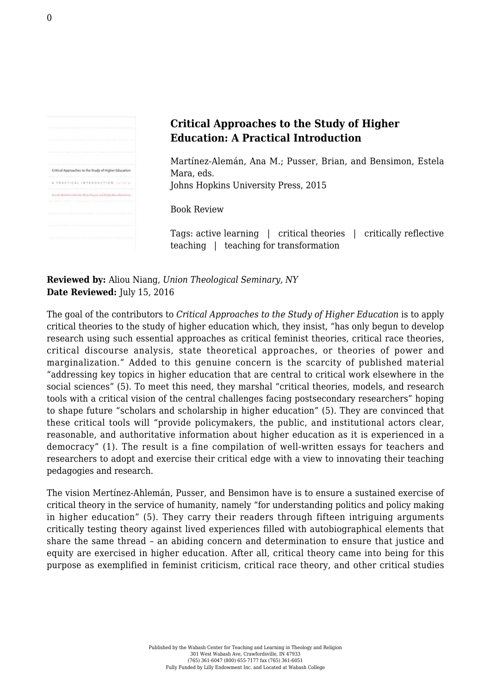|  | Critical Approaches to the Study of Higher Education       |  |  |
|--|------------------------------------------------------------|--|--|
|  | A PEACTICAL INTEGOUCTION ISSUED                            |  |  |
|  | Ana M. Martinez (Alemán, Brian Pusse), and Estela Mara Ben |  |  |
|  |                                                            |  |  |
|  |                                                            |  |  |
|  |                                                            |  |  |

## **Critical Approaches to the Study of Higher Education: A Practical Introduction**

Martínez-Alemán, Ana M.; Pusser, Brian, and Bensimon, Estela Mara, eds. [Johns Hopkins University Press, 2015](https://jhupbooks.press.jhu.edu/content/critical-approaches-study-higher-education)

Book Review

Tags: active learning | critical theories | critically reflective teaching | teaching for transformation

**Reviewed by:** Aliou Niang, *Union Theological Seminary, NY* **Date Reviewed:** July 15, 2016

The goal of the contributors to *Critical Approaches to the Study of Higher Education* is to apply critical theories to the study of higher education which, they insist, "has only begun to develop research using such essential approaches as critical feminist theories, critical race theories, critical discourse analysis, state theoretical approaches, or theories of power and marginalization." Added to this genuine concern is the scarcity of published material "addressing key topics in higher education that are central to critical work elsewhere in the social sciences" (5). To meet this need, they marshal "critical theories, models, and research tools with a critical vision of the central challenges facing postsecondary researchers" hoping to shape future "scholars and scholarship in higher education" (5). They are convinced that these critical tools will "provide policymakers, the public, and institutional actors clear, reasonable, and authoritative information about higher education as it is experienced in a democracy" (1). The result is a fine compilation of well-written essays for teachers and researchers to adopt and exercise their critical edge with a view to innovating their teaching pedagogies and research.

The vision Mertínez-Ahlemán, Pusser, and Bensimon have is to ensure a sustained exercise of critical theory in the service of humanity, namely "for understanding politics and policy making in higher education" (5). They carry their readers through fifteen intriguing arguments critically testing theory against lived experiences filled with autobiographical elements that share the same thread – an abiding concern and determination to ensure that justice and equity are exercised in higher education. After all, critical theory came into being for this purpose as exemplified in feminist criticism, critical race theory, and other critical studies